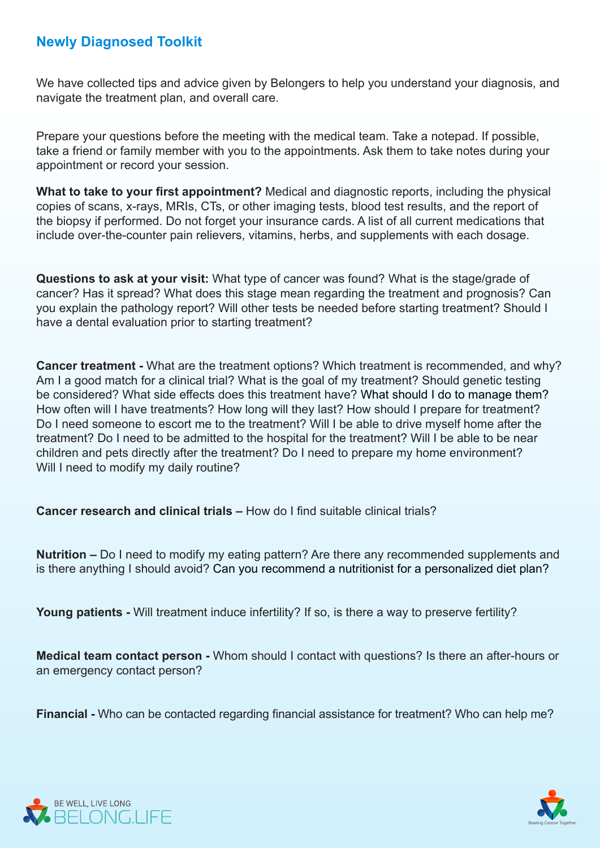## **Newly Diagnosed Toolkit**

We have collected tips and advice given by Belongers to help you understand your diagnosis, and navigate the treatment plan, and overall care.

Prepare your questions before the meeting with the medical team. Take a notepad. If possible, take a friend or family member with you to the appointments. Ask them to take notes during your appointment or record your session.

What to take to your first appointment? Medical and diagnostic reports, including the physical copies of scans, x-rays, MRIs, CTs, or other imaging tests, blood test results, and the report of the biopsy if performed. Do not forget your insurance cards. A list of all current medications that include over-the-counter pain relievers, vitamins, herbs, and supplements with each dosage.

**Questions to ask at your visit:** What type of cancer was found? What is the stage/grade of cancer? Has it spread? What does this stage mean regarding the treatment and prognosis? Can you explain the pathology report? Will other tests be needed before starting treatment? Should I have a dental evaluation prior to starting treatment?

**Cancer treatment -** What are the treatment options? Which treatment is recommended, and why? Am I a good match for a clinical trial? What is the goal of my treatment? Should genetic testing be considered? What side effects does this treatment have? What should I do to manage them? How often will I have treatments? How long will they last? How should I prepare for treatment? Do I need someone to escort me to the treatment? Will I be able to drive myself home after the treatment? Do I need to be admitted to the hospital for the treatment? Will I be able to be near children and pets directly after the treatment? Do I need to prepare my home environment? Will I need to modify my daily routine?

**Cancer research and clinical trials – How do I find suitable clinical trials?** 

Nutrition – Do I need to modify my eating pattern? Are there any recommended supplements and is there anything I should avoid? Can you recommend a nutritionist for a personalized diet plan?

Young patients - Will treatment induce infertility? If so, is there a way to preserve fertility?

**Medical team contact person -** Whom should I contact with questions? Is there an after-hours or an emergency contact person?

**Financial -** Who can be contacted regarding financial assistance for treatment? Who can help me?